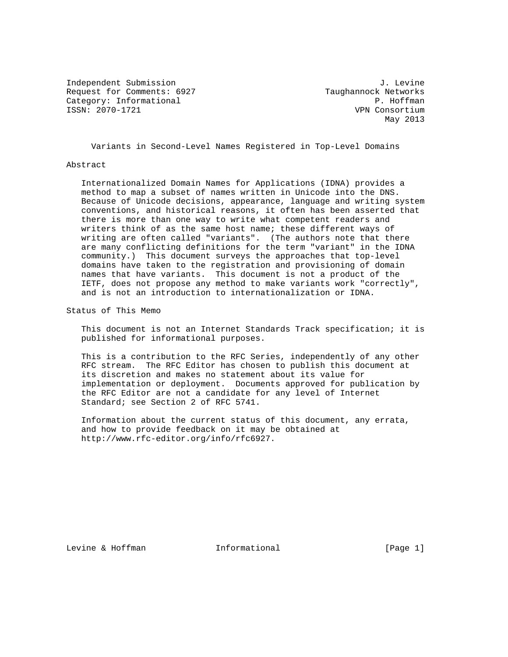Independent Submission **J. Levine** J. Levine Request for Comments: 6927 Taughannock Networks Category: Informational  $\begin{array}{ccc} 2 & 2 & 2 \ 2 & 2 & 2 \end{array}$  P. Hoffman<br>
P. Hoffman<br>
P. Monsortium

VPN Consortium May 2013

Variants in Second-Level Names Registered in Top-Level Domains

#### Abstract

 Internationalized Domain Names for Applications (IDNA) provides a method to map a subset of names written in Unicode into the DNS. Because of Unicode decisions, appearance, language and writing system conventions, and historical reasons, it often has been asserted that there is more than one way to write what competent readers and writers think of as the same host name; these different ways of writing are often called "variants". (The authors note that there are many conflicting definitions for the term "variant" in the IDNA community.) This document surveys the approaches that top-level domains have taken to the registration and provisioning of domain names that have variants. This document is not a product of the IETF, does not propose any method to make variants work "correctly", and is not an introduction to internationalization or IDNA.

Status of This Memo

 This document is not an Internet Standards Track specification; it is published for informational purposes.

 This is a contribution to the RFC Series, independently of any other RFC stream. The RFC Editor has chosen to publish this document at its discretion and makes no statement about its value for implementation or deployment. Documents approved for publication by the RFC Editor are not a candidate for any level of Internet Standard; see Section 2 of RFC 5741.

 Information about the current status of this document, any errata, and how to provide feedback on it may be obtained at http://www.rfc-editor.org/info/rfc6927.

Levine & Hoffman **Informational** [Page 1]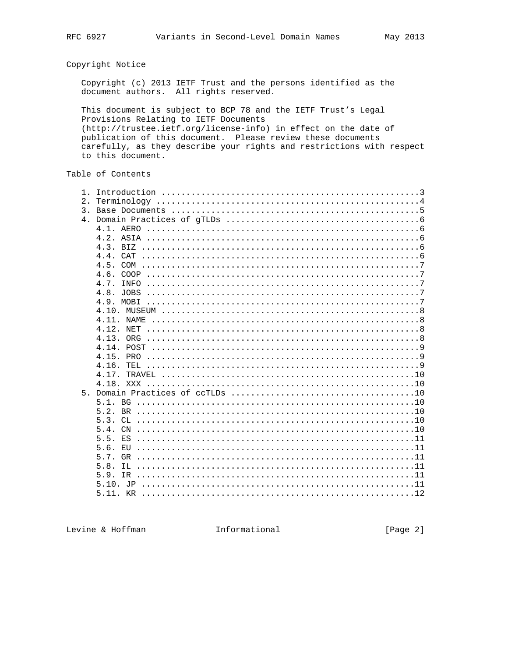# Copyright Notice

Copyright (c) 2013 IETF Trust and the persons identified as the document authors. All rights reserved.

This document is subject to BCP 78 and the IETF Trust's Legal Provisions Relating to IETF Documents (http://trustee.ietf.org/license-info) in effect on the date of publication of this document. Please review these documents carefully, as they describe your rights and restrictions with respect to this document.

# Table of Contents

| $1$ .<br>2.<br>$\mathcal{E}$<br>$4 \cdot$ | $4.1.$ AERO<br>4.4.<br><b>CAT</b><br>45<br>4.6.<br>COOP<br>4.7.<br><b>TNFO</b><br>4.11. NAME<br>NET<br>4 1 2<br>4 1 3 |
|-------------------------------------------|-----------------------------------------------------------------------------------------------------------------------|
|                                           | 4.15.                                                                                                                 |
|                                           | 4.16.                                                                                                                 |
|                                           | 4.17.                                                                                                                 |
| 5 <sub>1</sub>                            | 4.18. XXX                                                                                                             |
|                                           |                                                                                                                       |
|                                           |                                                                                                                       |
|                                           |                                                                                                                       |
|                                           | 5 4<br>$\overline{CN}$                                                                                                |
|                                           | F.S                                                                                                                   |
|                                           | 5.6.<br>EU.                                                                                                           |
|                                           |                                                                                                                       |
|                                           | 5.8.                                                                                                                  |
|                                           | 5.9.                                                                                                                  |
|                                           |                                                                                                                       |
|                                           |                                                                                                                       |

Levine & Hoffman Manuel Informational

[Page 2]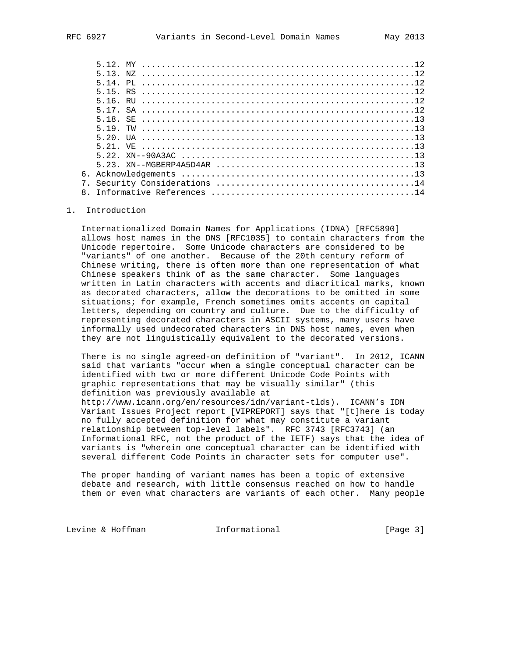| $5.23. \text{ XN}$ - MGBERP4A5D4AR<br>6. |
|------------------------------------------|

### 1. Introduction

 Internationalized Domain Names for Applications (IDNA) [RFC5890] allows host names in the DNS [RFC1035] to contain characters from the Unicode repertoire. Some Unicode characters are considered to be "variants" of one another. Because of the 20th century reform of Chinese writing, there is often more than one representation of what Chinese speakers think of as the same character. Some languages written in Latin characters with accents and diacritical marks, known as decorated characters, allow the decorations to be omitted in some situations; for example, French sometimes omits accents on capital letters, depending on country and culture. Due to the difficulty of representing decorated characters in ASCII systems, many users have informally used undecorated characters in DNS host names, even when they are not linguistically equivalent to the decorated versions.

 There is no single agreed-on definition of "variant". In 2012, ICANN said that variants "occur when a single conceptual character can be identified with two or more different Unicode Code Points with graphic representations that may be visually similar" (this definition was previously available at

 http://www.icann.org/en/resources/idn/variant-tlds). ICANN's IDN Variant Issues Project report [VIPREPORT] says that "[t]here is today no fully accepted definition for what may constitute a variant relationship between top-level labels". RFC 3743 [RFC3743] (an Informational RFC, not the product of the IETF) says that the idea of variants is "wherein one conceptual character can be identified with several different Code Points in character sets for computer use".

 The proper handing of variant names has been a topic of extensive debate and research, with little consensus reached on how to handle them or even what characters are variants of each other. Many people

Levine & Hoffman **Informational** [Page 3]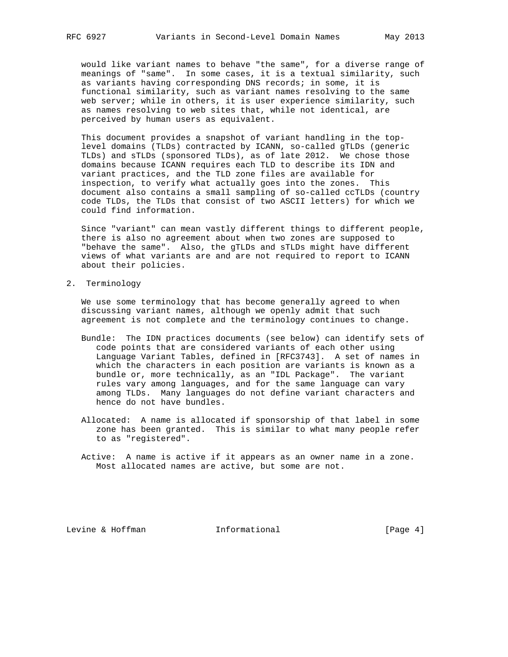would like variant names to behave "the same", for a diverse range of meanings of "same". In some cases, it is a textual similarity, such as variants having corresponding DNS records; in some, it is functional similarity, such as variant names resolving to the same web server; while in others, it is user experience similarity, such as names resolving to web sites that, while not identical, are perceived by human users as equivalent.

 This document provides a snapshot of variant handling in the top level domains (TLDs) contracted by ICANN, so-called gTLDs (generic TLDs) and sTLDs (sponsored TLDs), as of late 2012. We chose those domains because ICANN requires each TLD to describe its IDN and variant practices, and the TLD zone files are available for inspection, to verify what actually goes into the zones. This document also contains a small sampling of so-called ccTLDs (country code TLDs, the TLDs that consist of two ASCII letters) for which we could find information.

 Since "variant" can mean vastly different things to different people, there is also no agreement about when two zones are supposed to "behave the same". Also, the gTLDs and sTLDs might have different views of what variants are and are not required to report to ICANN about their policies.

2. Terminology

 We use some terminology that has become generally agreed to when discussing variant names, although we openly admit that such agreement is not complete and the terminology continues to change.

- Bundle: The IDN practices documents (see below) can identify sets of code points that are considered variants of each other using Language Variant Tables, defined in [RFC3743]. A set of names in which the characters in each position are variants is known as a bundle or, more technically, as an "IDL Package". The variant rules vary among languages, and for the same language can vary among TLDs. Many languages do not define variant characters and hence do not have bundles.
- Allocated: A name is allocated if sponsorship of that label in some zone has been granted. This is similar to what many people refer to as "registered".
- Active: A name is active if it appears as an owner name in a zone. Most allocated names are active, but some are not.

Levine & Hoffman **Informational** [Page 4]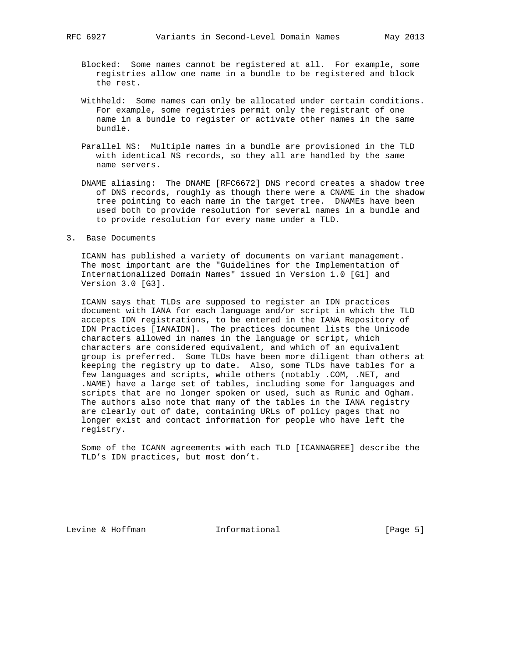- Blocked: Some names cannot be registered at all. For example, some registries allow one name in a bundle to be registered and block the rest.
- Withheld: Some names can only be allocated under certain conditions. For example, some registries permit only the registrant of one name in a bundle to register or activate other names in the same bundle.
- Parallel NS: Multiple names in a bundle are provisioned in the TLD with identical NS records, so they all are handled by the same name servers.
- DNAME aliasing: The DNAME [RFC6672] DNS record creates a shadow tree of DNS records, roughly as though there were a CNAME in the shadow tree pointing to each name in the target tree. DNAMEs have been used both to provide resolution for several names in a bundle and to provide resolution for every name under a TLD.
- 3. Base Documents

 ICANN has published a variety of documents on variant management. The most important are the "Guidelines for the Implementation of Internationalized Domain Names" issued in Version 1.0 [G1] and Version 3.0 [G3].

 ICANN says that TLDs are supposed to register an IDN practices document with IANA for each language and/or script in which the TLD accepts IDN registrations, to be entered in the IANA Repository of IDN Practices [IANAIDN]. The practices document lists the Unicode characters allowed in names in the language or script, which characters are considered equivalent, and which of an equivalent group is preferred. Some TLDs have been more diligent than others at keeping the registry up to date. Also, some TLDs have tables for a few languages and scripts, while others (notably .COM, .NET, and .NAME) have a large set of tables, including some for languages and scripts that are no longer spoken or used, such as Runic and Ogham. The authors also note that many of the tables in the IANA registry are clearly out of date, containing URLs of policy pages that no longer exist and contact information for people who have left the registry.

 Some of the ICANN agreements with each TLD [ICANNAGREE] describe the TLD's IDN practices, but most don't.

Levine & Hoffman **Informational** [Page 5]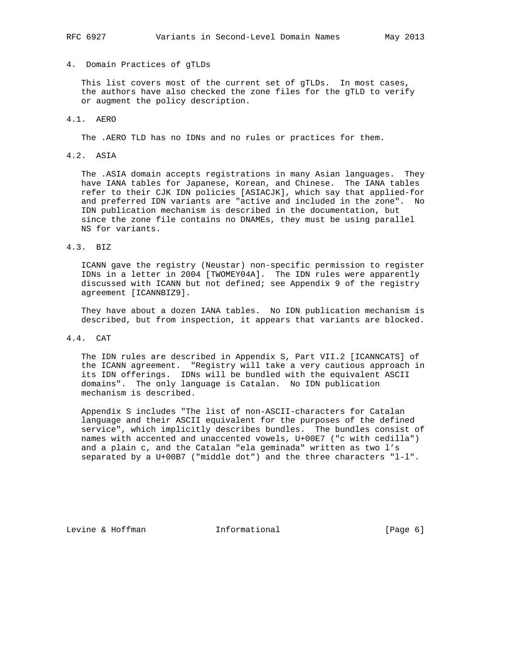## 4. Domain Practices of gTLDs

 This list covers most of the current set of gTLDs. In most cases, the authors have also checked the zone files for the gTLD to verify or augment the policy description.

## 4.1. AERO

The .AERO TLD has no IDNs and no rules or practices for them.

## 4.2. ASIA

 The .ASIA domain accepts registrations in many Asian languages. They have IANA tables for Japanese, Korean, and Chinese. The IANA tables refer to their CJK IDN policies [ASIACJK], which say that applied-for and preferred IDN variants are "active and included in the zone". No IDN publication mechanism is described in the documentation, but since the zone file contains no DNAMEs, they must be using parallel NS for variants.

## 4.3. BIZ

 ICANN gave the registry (Neustar) non-specific permission to register IDNs in a letter in 2004 [TWOMEY04A]. The IDN rules were apparently discussed with ICANN but not defined; see Appendix 9 of the registry agreement [ICANNBIZ9].

 They have about a dozen IANA tables. No IDN publication mechanism is described, but from inspection, it appears that variants are blocked.

## 4.4. CAT

 The IDN rules are described in Appendix S, Part VII.2 [ICANNCATS] of the ICANN agreement. "Registry will take a very cautious approach in its IDN offerings. IDNs will be bundled with the equivalent ASCII domains". The only language is Catalan. No IDN publication mechanism is described.

 Appendix S includes "The list of non-ASCII-characters for Catalan language and their ASCII equivalent for the purposes of the defined service", which implicitly describes bundles. The bundles consist of names with accented and unaccented vowels, U+00E7 ("c with cedilla") and a plain c, and the Catalan "ela geminada" written as two l's separated by a U+00B7 ("middle dot") and the three characters "l-l".

Levine & Hoffman **Informational** [Page 6]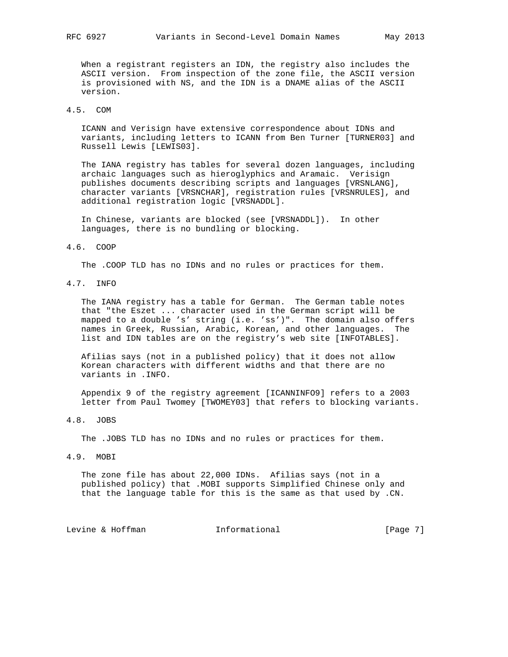When a registrant registers an IDN, the registry also includes the ASCII version. From inspection of the zone file, the ASCII version is provisioned with NS, and the IDN is a DNAME alias of the ASCII version.

## 4.5. COM

 ICANN and Verisign have extensive correspondence about IDNs and variants, including letters to ICANN from Ben Turner [TURNER03] and Russell Lewis [LEWIS03].

 The IANA registry has tables for several dozen languages, including archaic languages such as hieroglyphics and Aramaic. Verisign publishes documents describing scripts and languages [VRSNLANG], character variants [VRSNCHAR], registration rules [VRSNRULES], and additional registration logic [VRSNADDL].

 In Chinese, variants are blocked (see [VRSNADDL]). In other languages, there is no bundling or blocking.

#### 4.6. COOP

The .COOP TLD has no IDNs and no rules or practices for them.

4.7. INFO

 The IANA registry has a table for German. The German table notes that "the Eszet ... character used in the German script will be mapped to a double 's' string (i.e. 'ss')". The domain also offers names in Greek, Russian, Arabic, Korean, and other languages. The list and IDN tables are on the registry's web site [INFOTABLES].

 Afilias says (not in a published policy) that it does not allow Korean characters with different widths and that there are no variants in .INFO.

 Appendix 9 of the registry agreement [ICANNINFO9] refers to a 2003 letter from Paul Twomey [TWOMEY03] that refers to blocking variants.

4.8. JOBS

The .JOBS TLD has no IDNs and no rules or practices for them.

4.9. MOBI

 The zone file has about 22,000 IDNs. Afilias says (not in a published policy) that .MOBI supports Simplified Chinese only and that the language table for this is the same as that used by .CN.

Levine & Hoffman **Informational** [Page 7]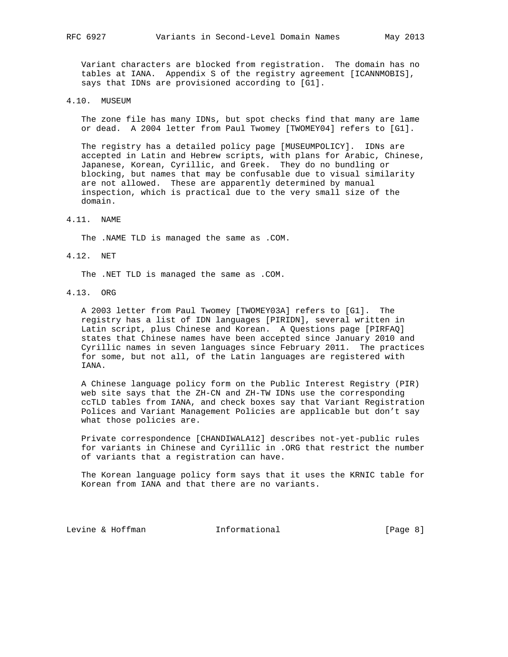Variant characters are blocked from registration. The domain has no tables at IANA. Appendix S of the registry agreement [ICANNMOBIS], says that IDNs are provisioned according to [G1].

### 4.10. MUSEUM

 The zone file has many IDNs, but spot checks find that many are lame or dead. A 2004 letter from Paul Twomey [TWOMEY04] refers to [G1].

 The registry has a detailed policy page [MUSEUMPOLICY]. IDNs are accepted in Latin and Hebrew scripts, with plans for Arabic, Chinese, Japanese, Korean, Cyrillic, and Greek. They do no bundling or blocking, but names that may be confusable due to visual similarity are not allowed. These are apparently determined by manual inspection, which is practical due to the very small size of the domain.

4.11. NAME

The .NAME TLD is managed the same as .COM.

4.12. NET

The .NET TLD is managed the same as .COM.

4.13. ORG

 A 2003 letter from Paul Twomey [TWOMEY03A] refers to [G1]. The registry has a list of IDN languages [PIRIDN], several written in Latin script, plus Chinese and Korean. A Questions page [PIRFAQ] states that Chinese names have been accepted since January 2010 and Cyrillic names in seven languages since February 2011. The practices for some, but not all, of the Latin languages are registered with IANA.

 A Chinese language policy form on the Public Interest Registry (PIR) web site says that the ZH-CN and ZH-TW IDNs use the corresponding ccTLD tables from IANA, and check boxes say that Variant Registration Polices and Variant Management Policies are applicable but don't say what those policies are.

 Private correspondence [CHANDIWALA12] describes not-yet-public rules for variants in Chinese and Cyrillic in .ORG that restrict the number of variants that a registration can have.

 The Korean language policy form says that it uses the KRNIC table for Korean from IANA and that there are no variants.

Levine & Hoffman **Informational** [Page 8]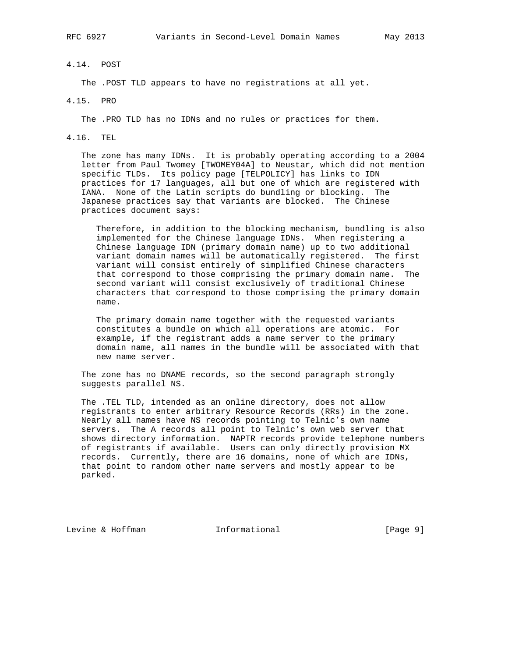## 4.14. POST

The .POST TLD appears to have no registrations at all yet.

### 4.15. PRO

The .PRO TLD has no IDNs and no rules or practices for them.

## 4.16. TEL

 The zone has many IDNs. It is probably operating according to a 2004 letter from Paul Twomey [TWOMEY04A] to Neustar, which did not mention specific TLDs. Its policy page [TELPOLICY] has links to IDN practices for 17 languages, all but one of which are registered with IANA. None of the Latin scripts do bundling or blocking. The Japanese practices say that variants are blocked. The Chinese practices document says:

 Therefore, in addition to the blocking mechanism, bundling is also implemented for the Chinese language IDNs. When registering a Chinese language IDN (primary domain name) up to two additional variant domain names will be automatically registered. The first variant will consist entirely of simplified Chinese characters that correspond to those comprising the primary domain name. The second variant will consist exclusively of traditional Chinese characters that correspond to those comprising the primary domain name.

 The primary domain name together with the requested variants constitutes a bundle on which all operations are atomic. For example, if the registrant adds a name server to the primary domain name, all names in the bundle will be associated with that new name server.

 The zone has no DNAME records, so the second paragraph strongly suggests parallel NS.

 The .TEL TLD, intended as an online directory, does not allow registrants to enter arbitrary Resource Records (RRs) in the zone. Nearly all names have NS records pointing to Telnic's own name servers. The A records all point to Telnic's own web server that shows directory information. NAPTR records provide telephone numbers of registrants if available. Users can only directly provision MX records. Currently, there are 16 domains, none of which are IDNs, that point to random other name servers and mostly appear to be parked.

Levine & Hoffman **Informational** [Page 9]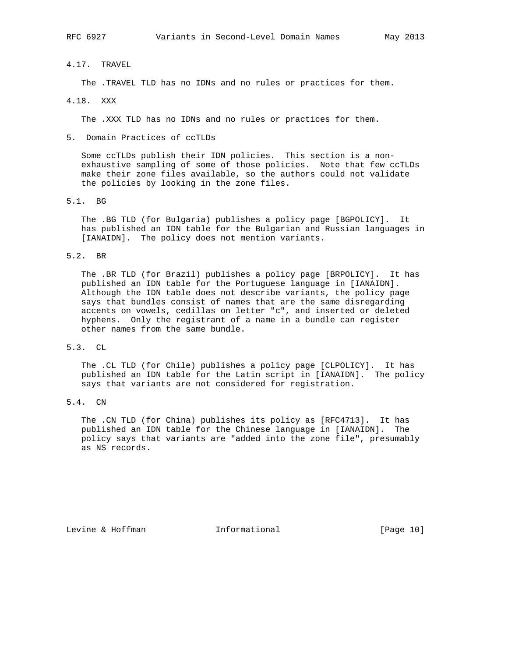## 4.17. TRAVEL

The .TRAVEL TLD has no IDNs and no rules or practices for them.

4.18. XXX

The .XXX TLD has no IDNs and no rules or practices for them.

5. Domain Practices of ccTLDs

 Some ccTLDs publish their IDN policies. This section is a non exhaustive sampling of some of those policies. Note that few ccTLDs make their zone files available, so the authors could not validate the policies by looking in the zone files.

5.1. BG

 The .BG TLD (for Bulgaria) publishes a policy page [BGPOLICY]. It has published an IDN table for the Bulgarian and Russian languages in [IANAIDN]. The policy does not mention variants.

### 5.2. BR

 The .BR TLD (for Brazil) publishes a policy page [BRPOLICY]. It has published an IDN table for the Portuguese language in [IANAIDN]. Although the IDN table does not describe variants, the policy page says that bundles consist of names that are the same disregarding accents on vowels, cedillas on letter "c", and inserted or deleted hyphens. Only the registrant of a name in a bundle can register other names from the same bundle.

## 5.3. CL

 The .CL TLD (for Chile) publishes a policy page [CLPOLICY]. It has published an IDN table for the Latin script in [IANAIDN]. The policy says that variants are not considered for registration.

# 5.4. CN

 The .CN TLD (for China) publishes its policy as [RFC4713]. It has published an IDN table for the Chinese language in [IANAIDN]. The policy says that variants are "added into the zone file", presumably as NS records.

Levine & Hoffman **Informational** [Page 10]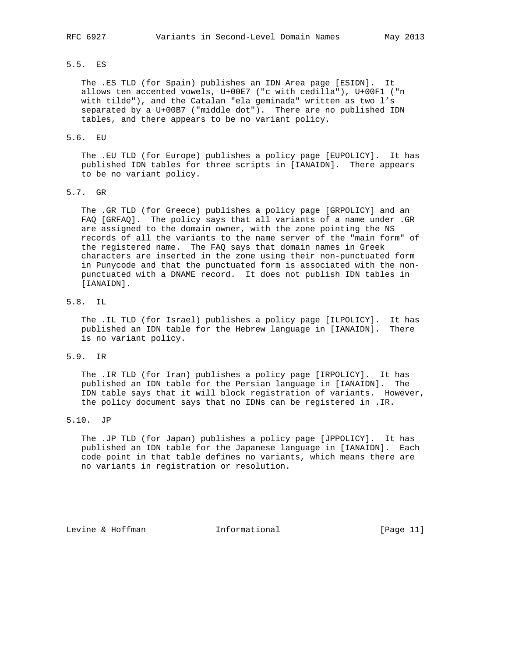# 5.5. ES

 The .ES TLD (for Spain) publishes an IDN Area page [ESIDN]. It allows ten accented vowels, U+00E7 ("c with cedilla"), U+00F1 ("n with tilde"), and the Catalan "ela geminada" written as two l's separated by a U+00B7 ("middle dot"). There are no published IDN tables, and there appears to be no variant policy.

#### 5.6. EU

 The .EU TLD (for Europe) publishes a policy page [EUPOLICY]. It has published IDN tables for three scripts in [IANAIDN]. There appears to be no variant policy.

# 5.7. GR

 The .GR TLD (for Greece) publishes a policy page [GRPOLICY] and an FAQ [GRFAQ]. The policy says that all variants of a name under .GR are assigned to the domain owner, with the zone pointing the NS records of all the variants to the name server of the "main form" of the registered name. The FAQ says that domain names in Greek characters are inserted in the zone using their non-punctuated form in Punycode and that the punctuated form is associated with the non punctuated with a DNAME record. It does not publish IDN tables in [IANAIDN].

## 5.8. IL

 The .IL TLD (for Israel) publishes a policy page [ILPOLICY]. It has published an IDN table for the Hebrew language in [IANAIDN]. There is no variant policy.

### 5.9. IR

 The .IR TLD (for Iran) publishes a policy page [IRPOLICY]. It has published an IDN table for the Persian language in [IANAIDN]. The IDN table says that it will block registration of variants. However, the policy document says that no IDNs can be registered in .IR.

## 5.10. JP

 The .JP TLD (for Japan) publishes a policy page [JPPOLICY]. It has published an IDN table for the Japanese language in [IANAIDN]. Each code point in that table defines no variants, which means there are no variants in registration or resolution.

Levine & Hoffman **Informational** [Page 11]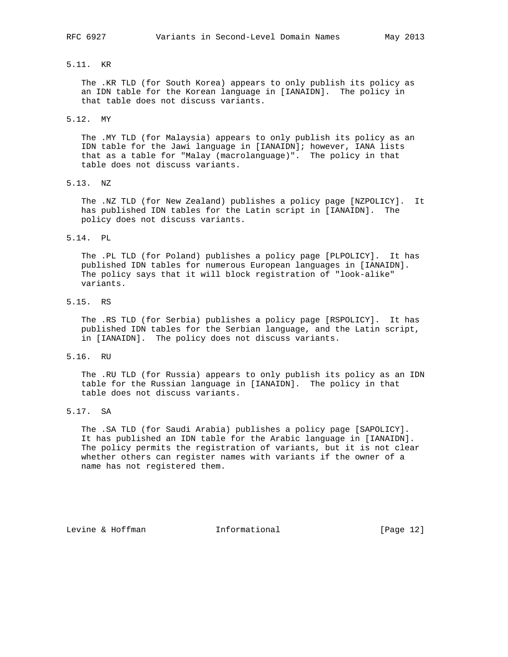# 5.11. KR

 The .KR TLD (for South Korea) appears to only publish its policy as an IDN table for the Korean language in [IANAIDN]. The policy in that table does not discuss variants.

#### 5.12. MY

 The .MY TLD (for Malaysia) appears to only publish its policy as an IDN table for the Jawi language in [IANAIDN]; however, IANA lists that as a table for "Malay (macrolanguage)". The policy in that table does not discuss variants.

5.13. NZ

 The .NZ TLD (for New Zealand) publishes a policy page [NZPOLICY]. It has published IDN tables for the Latin script in [IANAIDN]. The policy does not discuss variants.

#### 5.14. PL

 The .PL TLD (for Poland) publishes a policy page [PLPOLICY]. It has published IDN tables for numerous European languages in [IANAIDN]. The policy says that it will block registration of "look-alike" variants.

# 5.15. RS

 The .RS TLD (for Serbia) publishes a policy page [RSPOLICY]. It has published IDN tables for the Serbian language, and the Latin script, in [IANAIDN]. The policy does not discuss variants.

### 5.16. RU

 The .RU TLD (for Russia) appears to only publish its policy as an IDN table for the Russian language in [IANAIDN]. The policy in that table does not discuss variants.

# 5.17. SA

 The .SA TLD (for Saudi Arabia) publishes a policy page [SAPOLICY]. It has published an IDN table for the Arabic language in [IANAIDN]. The policy permits the registration of variants, but it is not clear whether others can register names with variants if the owner of a name has not registered them.

Levine & Hoffman **Informational** [Page 12]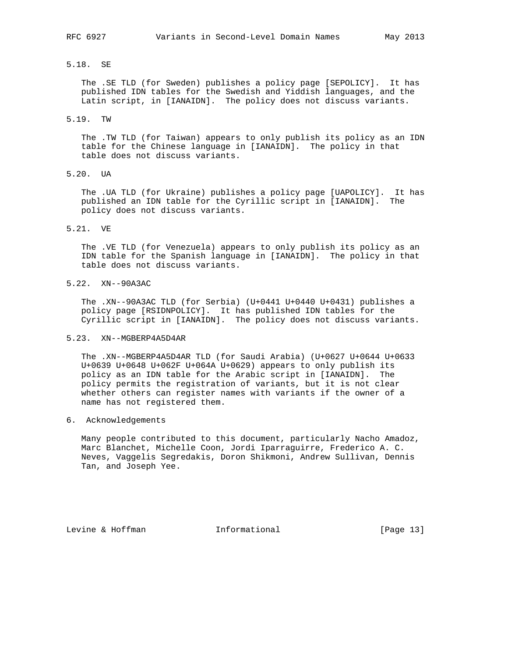### 5.18. SE

 The .SE TLD (for Sweden) publishes a policy page [SEPOLICY]. It has published IDN tables for the Swedish and Yiddish languages, and the Latin script, in [IANAIDN]. The policy does not discuss variants.

5.19. TW

 The .TW TLD (for Taiwan) appears to only publish its policy as an IDN table for the Chinese language in [IANAIDN]. The policy in that table does not discuss variants.

5.20. UA

 The .UA TLD (for Ukraine) publishes a policy page [UAPOLICY]. It has published an IDN table for the Cyrillic script in [IANAIDN]. The policy does not discuss variants.

## 5.21. VE

 The .VE TLD (for Venezuela) appears to only publish its policy as an IDN table for the Spanish language in [IANAIDN]. The policy in that table does not discuss variants.

5.22. XN--90A3AC

 The .XN--90A3AC TLD (for Serbia) (U+0441 U+0440 U+0431) publishes a policy page [RSIDNPOLICY]. It has published IDN tables for the Cyrillic script in [IANAIDN]. The policy does not discuss variants.

### 5.23. XN--MGBERP4A5D4AR

 The .XN--MGBERP4A5D4AR TLD (for Saudi Arabia) (U+0627 U+0644 U+0633 U+0639 U+0648 U+062F U+064A U+0629) appears to only publish its policy as an IDN table for the Arabic script in [IANAIDN]. The policy permits the registration of variants, but it is not clear whether others can register names with variants if the owner of a name has not registered them.

### 6. Acknowledgements

 Many people contributed to this document, particularly Nacho Amadoz, Marc Blanchet, Michelle Coon, Jordi Iparraguirre, Frederico A. C. Neves, Vaggelis Segredakis, Doron Shikmoni, Andrew Sullivan, Dennis Tan, and Joseph Yee.

Levine & Hoffman **Informational** [Page 13]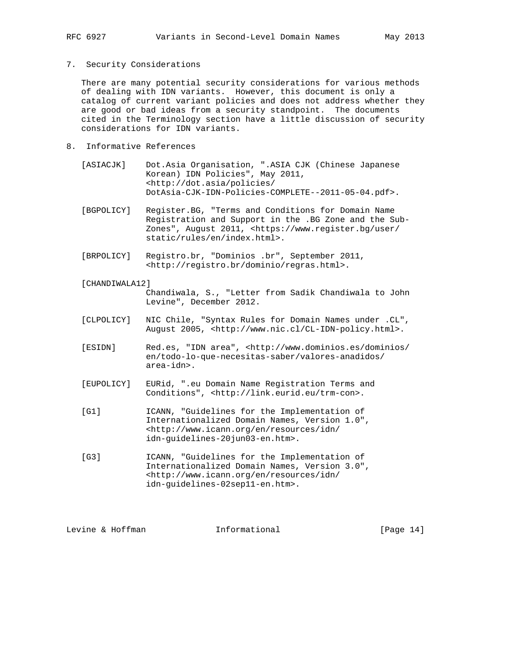7. Security Considerations

 There are many potential security considerations for various methods of dealing with IDN variants. However, this document is only a catalog of current variant policies and does not address whether they are good or bad ideas from a security standpoint. The documents cited in the Terminology section have a little discussion of security considerations for IDN variants.

- 8. Informative References
	- [ASIACJK] Dot.Asia Organisation, ".ASIA CJK (Chinese Japanese Korean) IDN Policies", May 2011, <http://dot.asia/policies/ DotAsia-CJK-IDN-Policies-COMPLETE--2011-05-04.pdf>.
	- [BGPOLICY] Register.BG, "Terms and Conditions for Domain Name Registration and Support in the .BG Zone and the Sub- Zones", August 2011, <https://www.register.bg/user/ static/rules/en/index.html>.
	- [BRPOLICY] Registro.br, "Dominios .br", September 2011, <http://registro.br/dominio/regras.html>.
	- [CHANDIWALA12]

 Chandiwala, S., "Letter from Sadik Chandiwala to John Levine", December 2012.

 [CLPOLICY] NIC Chile, "Syntax Rules for Domain Names under .CL", August 2005, <http://www.nic.cl/CL-IDN-policy.html>.

 [ESIDN] Red.es, "IDN area", <http://www.dominios.es/dominios/ en/todo-lo-que-necesitas-saber/valores-anadidos/ area-idn>.

- [EUPOLICY] EURid, ".eu Domain Name Registration Terms and Conditions", <http://link.eurid.eu/trm-con>.
- [G1] ICANN, "Guidelines for the Implementation of Internationalized Domain Names, Version 1.0", <http://www.icann.org/en/resources/idn/ idn-guidelines-20jun03-en.htm>.
- [G3] ICANN, "Guidelines for the Implementation of Internationalized Domain Names, Version 3.0", <http://www.icann.org/en/resources/idn/ idn-guidelines-02sep11-en.htm>.

Levine & Hoffman **Informational** [Page 14]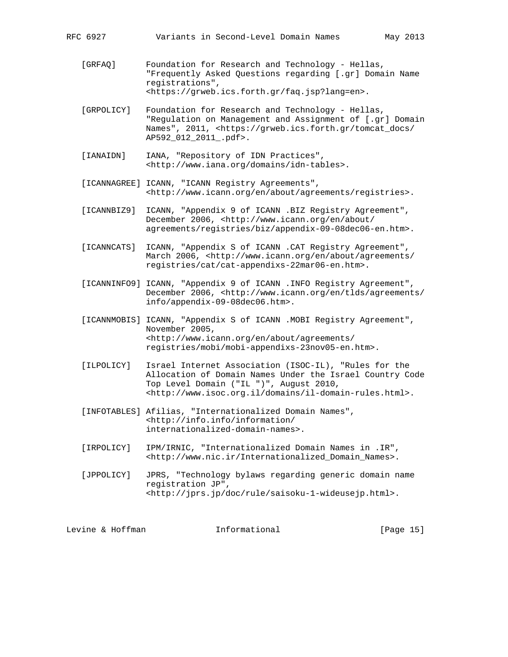- [GRFAQ] Foundation for Research and Technology Hellas, "Frequently Asked Questions regarding [.gr] Domain Name registrations", <https://grweb.ics.forth.gr/faq.jsp?lang=en>.
- [GRPOLICY] Foundation for Research and Technology Hellas, "Regulation on Management and Assignment of [.gr] Domain Names", 2011, <https://grweb.ics.forth.gr/tomcat\_docs/ AP592\_012\_2011\_.pdf>.
- [IANAIDN] IANA, "Repository of IDN Practices", <http://www.iana.org/domains/idn-tables>.
- [ICANNAGREE] ICANN, "ICANN Registry Agreements", <http://www.icann.org/en/about/agreements/registries>.
- [ICANNBIZ9] ICANN, "Appendix 9 of ICANN .BIZ Registry Agreement", December 2006, <http://www.icann.org/en/about/ agreements/registries/biz/appendix-09-08dec06-en.htm>.
- [ICANNCATS] ICANN, "Appendix S of ICANN .CAT Registry Agreement", March 2006, <http://www.icann.org/en/about/agreements/ registries/cat/cat-appendixs-22mar06-en.htm>.
- [ICANNINFO9] ICANN, "Appendix 9 of ICANN .INFO Registry Agreement", December 2006, <http://www.icann.org/en/tlds/agreements/ info/appendix-09-08dec06.htm>.
- [ICANNMOBIS] ICANN, "Appendix S of ICANN .MOBI Registry Agreement", November 2005, <http://www.icann.org/en/about/agreements/ registries/mobi/mobi-appendixs-23nov05-en.htm>.
- [ILPOLICY] Israel Internet Association (ISOC-IL), "Rules for the Allocation of Domain Names Under the Israel Country Code Top Level Domain ("IL ")", August 2010, <http://www.isoc.org.il/domains/il-domain-rules.html>.
- [INFOTABLES] Afilias, "Internationalized Domain Names", <http://info.info/information/ internationalized-domain-names>.
- [IRPOLICY] IPM/IRNIC, "Internationalized Domain Names in .IR", <http://www.nic.ir/Internationalized\_Domain\_Names>.
- [JPPOLICY] JPRS, "Technology bylaws regarding generic domain name registration JP", <http://jprs.jp/doc/rule/saisoku-1-wideusejp.html>.

| Levine & Hoffman | Informational | [Page 15] |
|------------------|---------------|-----------|
|                  |               |           |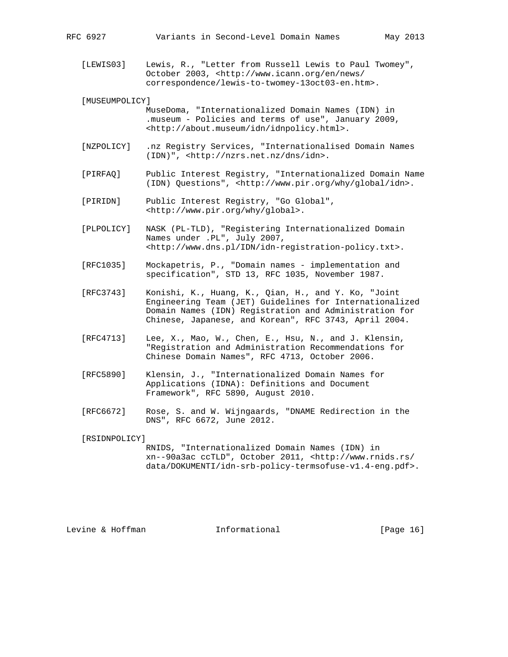[LEWIS03] Lewis, R., "Letter from Russell Lewis to Paul Twomey", October 2003, <http://www.icann.org/en/news/ correspondence/lewis-to-twomey-13oct03-en.htm>.

[MUSEUMPOLICY]

 MuseDoma, "Internationalized Domain Names (IDN) in .museum - Policies and terms of use", January 2009, <http://about.museum/idn/idnpolicy.html>.

- [NZPOLICY] .nz Registry Services, "Internationalised Domain Names (IDN)", <http://nzrs.net.nz/dns/idn>.
- [PIRFAQ] Public Interest Registry, "Internationalized Domain Name (IDN) Questions", <http://www.pir.org/why/global/idn>.
- [PIRIDN] Public Interest Registry, "Go Global", <http://www.pir.org/why/global>.
- [PLPOLICY] NASK (PL-TLD), "Registering Internationalized Domain Names under .PL", July 2007, <http://www.dns.pl/IDN/idn-registration-policy.txt>.
- [RFC1035] Mockapetris, P., "Domain names implementation and specification", STD 13, RFC 1035, November 1987.
- [RFC3743] Konishi, K., Huang, K., Qian, H., and Y. Ko, "Joint Engineering Team (JET) Guidelines for Internationalized Domain Names (IDN) Registration and Administration for Chinese, Japanese, and Korean", RFC 3743, April 2004.
- [RFC4713] Lee, X., Mao, W., Chen, E., Hsu, N., and J. Klensin, "Registration and Administration Recommendations for Chinese Domain Names", RFC 4713, October 2006.
- [RFC5890] Klensin, J., "Internationalized Domain Names for Applications (IDNA): Definitions and Document Framework", RFC 5890, August 2010.
- [RFC6672] Rose, S. and W. Wijngaards, "DNAME Redirection in the DNS", RFC 6672, June 2012.

[RSIDNPOLICY]

 RNIDS, "Internationalized Domain Names (IDN) in xn--90a3ac ccTLD", October 2011, <http://www.rnids.rs/ data/DOKUMENTI/idn-srb-policy-termsofuse-v1.4-eng.pdf>.

Levine & Hoffman **Informational** [Page 16]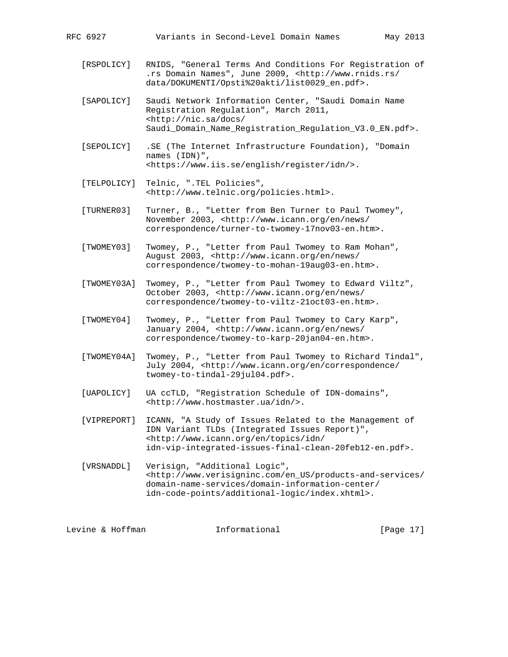[RSPOLICY] RNIDS, "General Terms And Conditions For Registration of .rs Domain Names", June 2009, <http://www.rnids.rs/ data/DOKUMENTI/Opsti%20akti/list0029\_en.pdf>.

 [SAPOLICY] Saudi Network Information Center, "Saudi Domain Name Registration Regulation", March 2011, <http://nic.sa/docs/ Saudi\_Domain\_Name\_Registration\_Regulation\_V3.0\_EN.pdf>.

- [SEPOLICY] .SE (The Internet Infrastructure Foundation), "Domain names (IDN)", <https://www.iis.se/english/register/idn/>.
- [TELPOLICY] Telnic, ".TEL Policies", <http://www.telnic.org/policies.html>.

 [TURNER03] Turner, B., "Letter from Ben Turner to Paul Twomey", November 2003, <http://www.icann.org/en/news/ correspondence/turner-to-twomey-17nov03-en.htm>.

- [TWOMEY03] Twomey, P., "Letter from Paul Twomey to Ram Mohan", August 2003, <http://www.icann.org/en/news/ correspondence/twomey-to-mohan-19aug03-en.htm>.
- [TWOMEY03A] Twomey, P., "Letter from Paul Twomey to Edward Viltz", October 2003, <http://www.icann.org/en/news/ correspondence/twomey-to-viltz-21oct03-en.htm>.
- [TWOMEY04] Twomey, P., "Letter from Paul Twomey to Cary Karp", January 2004, <http://www.icann.org/en/news/ correspondence/twomey-to-karp-20jan04-en.htm>.
- [TWOMEY04A] Twomey, P., "Letter from Paul Twomey to Richard Tindal", July 2004, <http://www.icann.org/en/correspondence/ twomey-to-tindal-29jul04.pdf>.
- [UAPOLICY] UA ccTLD, "Registration Schedule of IDN-domains", <http://www.hostmaster.ua/idn/>.
- [VIPREPORT] ICANN, "A Study of Issues Related to the Management of IDN Variant TLDs (Integrated Issues Report)", <http://www.icann.org/en/topics/idn/ idn-vip-integrated-issues-final-clean-20feb12-en.pdf>.

 [VRSNADDL] Verisign, "Additional Logic", <http://www.verisigninc.com/en\_US/products-and-services/ domain-name-services/domain-information-center/ idn-code-points/additional-logic/index.xhtml>.

Levine & Hoffman **Informational** [Page 17]